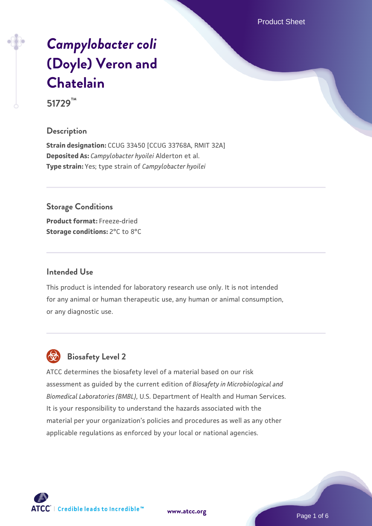Product Sheet

# *[Campylobacter coli](https://www.atcc.org/products/51729)* **[\(Doyle\) Veron and](https://www.atcc.org/products/51729) [Chatelain](https://www.atcc.org/products/51729)**

**51729™**

#### **Description**

**Strain designation:** CCUG 33450 [CCUG 33768A, RMIT 32A] **Deposited As:** *Campylobacter hyoilei* Alderton et al. **Type strain:** Yes; type strain of *Campylobacter hyoilei*

**Storage Conditions Product format:** Freeze-dried **Storage conditions:** 2°C to 8°C

#### **Intended Use**

This product is intended for laboratory research use only. It is not intended for any animal or human therapeutic use, any human or animal consumption, or any diagnostic use.



# **Biosafety Level 2**

ATCC determines the biosafety level of a material based on our risk assessment as guided by the current edition of *Biosafety in Microbiological and Biomedical Laboratories (BMBL)*, U.S. Department of Health and Human Services. It is your responsibility to understand the hazards associated with the material per your organization's policies and procedures as well as any other applicable regulations as enforced by your local or national agencies.

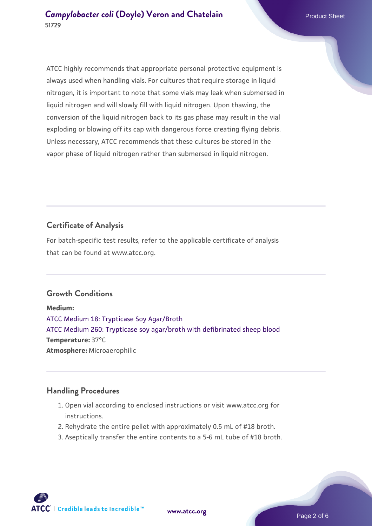ATCC highly recommends that appropriate personal protective equipment is always used when handling vials. For cultures that require storage in liquid nitrogen, it is important to note that some vials may leak when submersed in liquid nitrogen and will slowly fill with liquid nitrogen. Upon thawing, the conversion of the liquid nitrogen back to its gas phase may result in the vial exploding or blowing off its cap with dangerous force creating flying debris. Unless necessary, ATCC recommends that these cultures be stored in the vapor phase of liquid nitrogen rather than submersed in liquid nitrogen.

# **Certificate of Analysis**

For batch-specific test results, refer to the applicable certificate of analysis that can be found at www.atcc.org.

#### **Growth Conditions**

**Medium:**  [ATCC Medium 18: Trypticase Soy Agar/Broth](https://www.atcc.org/-/media/product-assets/documents/microbial-media-formulations/1/8/atcc-medium-18.pdf?rev=832846e1425841f19fc70569848edae7) [ATCC Medium 260: Trypticase soy agar/broth with defibrinated sheep blood](https://www.atcc.org/-/media/product-assets/documents/microbial-media-formulations/2/6/0/atcc-medium-0260.pdf?rev=5d6614780b1c4acf817a324e2507f087) **Temperature:** 37°C **Atmosphere:** Microaerophilic

#### **Handling Procedures**

- 1. Open vial according to enclosed instructions or visit www.atcc.org for instructions.
- 2. Rehydrate the entire pellet with approximately 0.5 mL of #18 broth.
- 3. Aseptically transfer the entire contents to a 5-6 mL tube of #18 broth.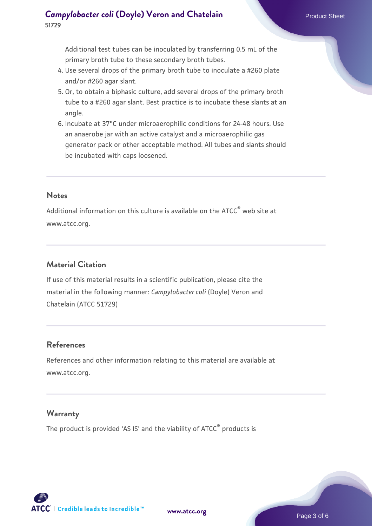Additional test tubes can be inoculated by transferring 0.5 mL of the primary broth tube to these secondary broth tubes.

- 4. Use several drops of the primary broth tube to inoculate a #260 plate and/or #260 agar slant.
- 5. Or, to obtain a biphasic culture, add several drops of the primary broth tube to a #260 agar slant. Best practice is to incubate these slants at an angle.
- 6. Incubate at 37°C under microaerophilic conditions for 24-48 hours. Use an anaerobe jar with an active catalyst and a microaerophilic gas generator pack or other acceptable method. All tubes and slants should be incubated with caps loosened.

#### **Notes**

Additional information on this culture is available on the ATCC® web site at www.atcc.org.

## **Material Citation**

If use of this material results in a scientific publication, please cite the material in the following manner: *Campylobacter coli* (Doyle) Veron and Chatelain (ATCC 51729)

#### **References**

References and other information relating to this material are available at www.atcc.org.

#### **Warranty**

The product is provided 'AS IS' and the viability of ATCC<sup>®</sup> products is

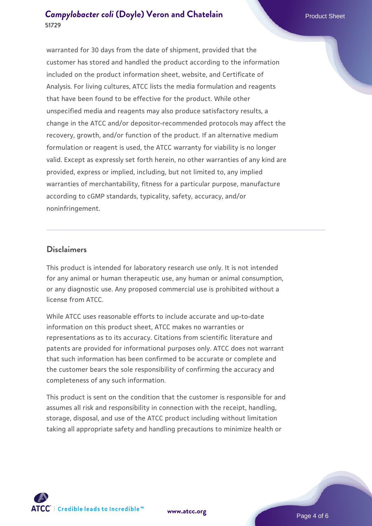warranted for 30 days from the date of shipment, provided that the customer has stored and handled the product according to the information included on the product information sheet, website, and Certificate of Analysis. For living cultures, ATCC lists the media formulation and reagents that have been found to be effective for the product. While other unspecified media and reagents may also produce satisfactory results, a change in the ATCC and/or depositor-recommended protocols may affect the recovery, growth, and/or function of the product. If an alternative medium formulation or reagent is used, the ATCC warranty for viability is no longer valid. Except as expressly set forth herein, no other warranties of any kind are provided, express or implied, including, but not limited to, any implied warranties of merchantability, fitness for a particular purpose, manufacture according to cGMP standards, typicality, safety, accuracy, and/or noninfringement.

#### **Disclaimers**

This product is intended for laboratory research use only. It is not intended for any animal or human therapeutic use, any human or animal consumption, or any diagnostic use. Any proposed commercial use is prohibited without a license from ATCC.

While ATCC uses reasonable efforts to include accurate and up-to-date information on this product sheet, ATCC makes no warranties or representations as to its accuracy. Citations from scientific literature and patents are provided for informational purposes only. ATCC does not warrant that such information has been confirmed to be accurate or complete and the customer bears the sole responsibility of confirming the accuracy and completeness of any such information.

This product is sent on the condition that the customer is responsible for and assumes all risk and responsibility in connection with the receipt, handling, storage, disposal, and use of the ATCC product including without limitation taking all appropriate safety and handling precautions to minimize health or



**[www.atcc.org](http://www.atcc.org)**

Page 4 of 6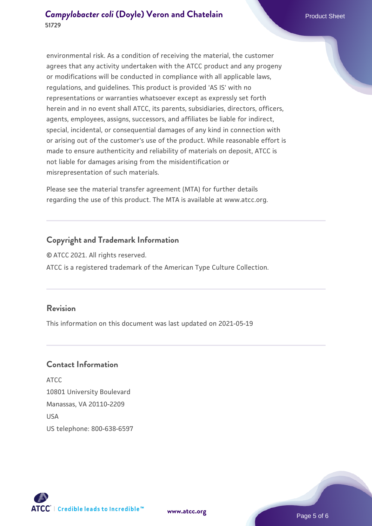environmental risk. As a condition of receiving the material, the customer agrees that any activity undertaken with the ATCC product and any progeny or modifications will be conducted in compliance with all applicable laws, regulations, and guidelines. This product is provided 'AS IS' with no representations or warranties whatsoever except as expressly set forth herein and in no event shall ATCC, its parents, subsidiaries, directors, officers, agents, employees, assigns, successors, and affiliates be liable for indirect, special, incidental, or consequential damages of any kind in connection with or arising out of the customer's use of the product. While reasonable effort is made to ensure authenticity and reliability of materials on deposit, ATCC is not liable for damages arising from the misidentification or misrepresentation of such materials.

Please see the material transfer agreement (MTA) for further details regarding the use of this product. The MTA is available at www.atcc.org.

#### **Copyright and Trademark Information**

© ATCC 2021. All rights reserved. ATCC is a registered trademark of the American Type Culture Collection.

## **Revision**

This information on this document was last updated on 2021-05-19

#### **Contact Information**

ATCC 10801 University Boulevard Manassas, VA 20110-2209 **IISA** US telephone: 800-638-6597